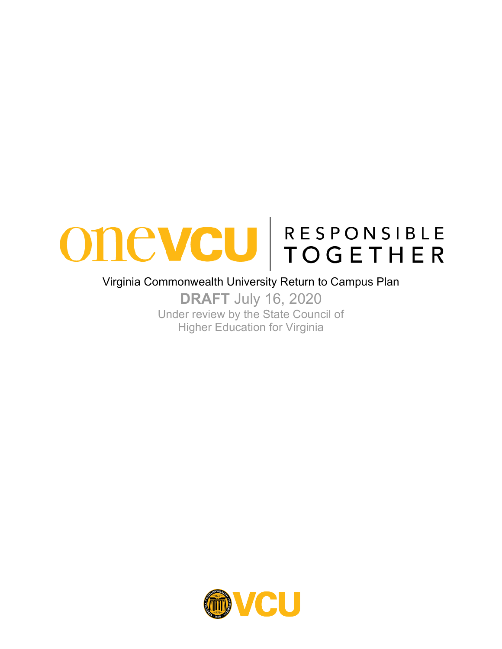

#### Virginia Commonwealth University Return to Campus Plan

**DRAFT** July 16, 2020 Under review by the State Council of Higher Education for Virginia

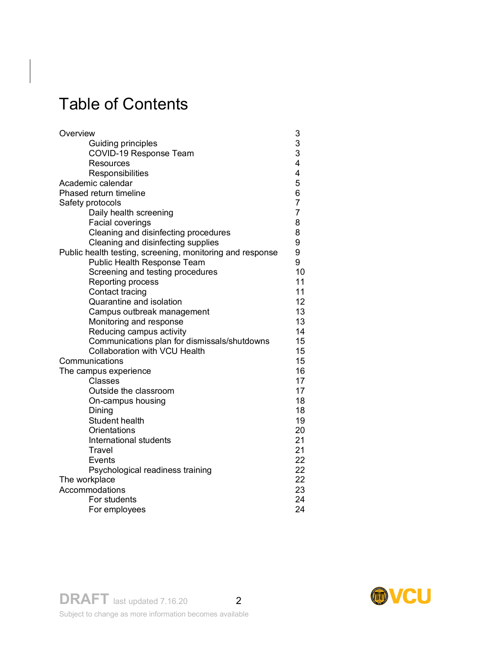# Table of Contents

| Overview                                                  |                  |  |
|-----------------------------------------------------------|------------------|--|
| Guiding principles                                        | 3<br>3<br>3<br>4 |  |
| <b>COVID-19 Response Team</b>                             |                  |  |
| Resources                                                 |                  |  |
| Responsibilities                                          | 4                |  |
| Academic calendar                                         | 5                |  |
| Phased return timeline                                    |                  |  |
| Safety protocols                                          | $\overline{7}$   |  |
| Daily health screening                                    | $\overline{7}$   |  |
| Facial coverings                                          | 8                |  |
| Cleaning and disinfecting procedures                      | 8                |  |
| Cleaning and disinfecting supplies                        | 9                |  |
| Public health testing, screening, monitoring and response | 9                |  |
| Public Health Response Team                               | 9                |  |
| Screening and testing procedures                          | 10               |  |
| Reporting process                                         | 11               |  |
| Contact tracing                                           | 11               |  |
| Quarantine and isolation                                  | 12               |  |
| Campus outbreak management                                | 13               |  |
| Monitoring and response                                   | 13               |  |
| Reducing campus activity                                  | 14               |  |
| Communications plan for dismissals/shutdowns              | 15               |  |
| <b>Collaboration with VCU Health</b>                      | 15               |  |
| Communications                                            |                  |  |
| The campus experience                                     |                  |  |
| Classes                                                   | 17               |  |
| Outside the classroom                                     | 17               |  |
| On-campus housing                                         | 18               |  |
| Dining                                                    | 18               |  |
| Student health                                            | 19               |  |
| Orientations                                              | 20               |  |
| International students                                    | 21               |  |
| Travel                                                    | 21               |  |
| Events                                                    | 22               |  |
| Psychological readiness training                          | 22               |  |
| The workplace                                             | 22               |  |
| Accommodations                                            |                  |  |
| For students                                              | 24               |  |
| For employees                                             | 24               |  |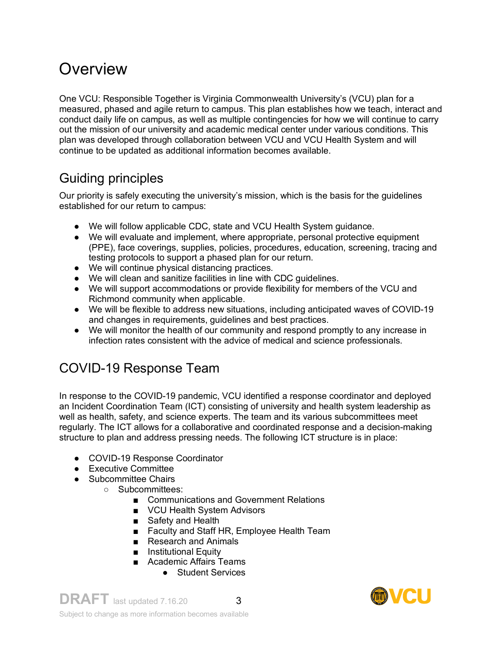# **Overview**

One VCU: Responsible Together is Virginia Commonwealth University's (VCU) plan for a measured, phased and agile return to campus. This plan establishes how we teach, interact and conduct daily life on campus, as well as multiple contingencies for how we will continue to carry out the mission of our university and academic medical center under various conditions. This plan was developed through collaboration between VCU and VCU Health System and will continue to be updated as additional information becomes available.

## Guiding principles

Our priority is safely executing the university's mission, which is the basis for the guidelines established for our return to campus:

- We will follow applicable CDC, state and VCU Health System guidance.
- We will evaluate and implement, where appropriate, personal protective equipment (PPE), face coverings, supplies, policies, procedures, education, screening, tracing and testing protocols to support a phased plan for our return.
- We will continue physical distancing practices.
- We will clean and sanitize facilities in line with CDC guidelines.
- We will support accommodations or provide flexibility for members of the VCU and Richmond community when applicable.
- We will be flexible to address new situations, including anticipated waves of COVID-19 and changes in requirements, guidelines and best practices.
- We will monitor the health of our community and respond promptly to any increase in infection rates consistent with the advice of medical and science professionals.

# COVID-19 Response Team

In response to the COVID-19 pandemic, VCU identified a response coordinator and deployed an Incident Coordination Team (ICT) consisting of university and health system leadership as well as health, safety, and science experts. The team and its various subcommittees meet regularly. The ICT allows for a collaborative and coordinated response and a decision-making structure to plan and address pressing needs. The following ICT structure is in place:

- COVID-19 Response Coordinator
- Executive Committee
- Subcommittee Chairs
	- Subcommittees:
		- Communications and Government Relations
		- VCU Health System Advisors
		- Safety and Health
		- Faculty and Staff HR, Employee Health Team
		- Research and Animals
		- Institutional Equity
		- Academic Affairs Teams
			- Student Services

**DRAFT** last updated 7.16.20 3 Subject to change as more information becomes available

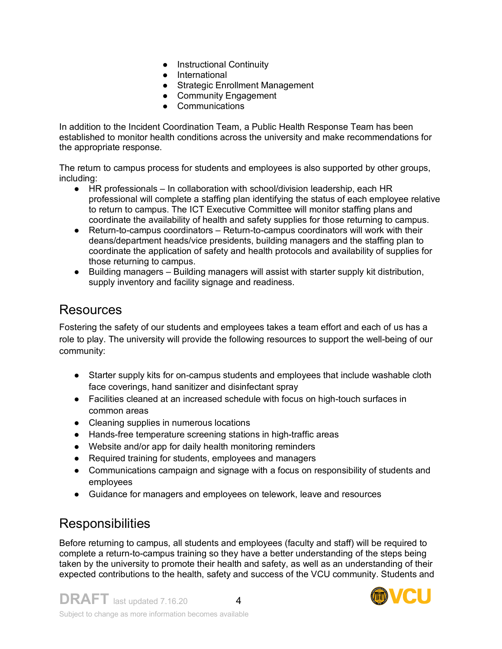- Instructional Continuity
- International
- Strategic Enrollment Management
- Community Engagement
- Communications

In addition to the Incident Coordination Team, a Public Health Response Team has been established to monitor health conditions across the university and make recommendations for the appropriate response.

The return to campus process for students and employees is also supported by other groups, including:

- HR professionals In collaboration with school/division leadership, each HR professional will complete a staffing plan identifying the status of each employee relative to return to campus. The ICT Executive Committee will monitor staffing plans and coordinate the availability of health and safety supplies for those returning to campus.
- Return-to-campus coordinators Return-to-campus coordinators will work with their deans/department heads/vice presidents, building managers and the staffing plan to coordinate the application of safety and health protocols and availability of supplies for those returning to campus.
- Building managers Building managers will assist with starter supply kit distribution, supply inventory and facility signage and readiness.

### Resources

Fostering the safety of our students and employees takes a team effort and each of us has a role to play. The university will provide the following resources to support the well-being of our community:

- Starter supply kits for on-campus students and employees that include washable cloth face coverings, hand sanitizer and disinfectant spray
- Facilities cleaned at an increased schedule with focus on high-touch surfaces in common areas
- Cleaning supplies in numerous locations
- Hands-free temperature screening stations in high-traffic areas
- Website and/or app for daily health monitoring reminders
- Required training for students, employees and managers
- Communications campaign and signage with a focus on responsibility of students and employees
- Guidance for managers and employees on telework, leave and resources

## **Responsibilities**

Before returning to campus, all students and employees (faculty and staff) will be required to complete a return-to-campus training so they have a better understanding of the steps being taken by the university to promote their health and safety, as well as an understanding of their expected contributions to the health, safety and success of the VCU community. Students and

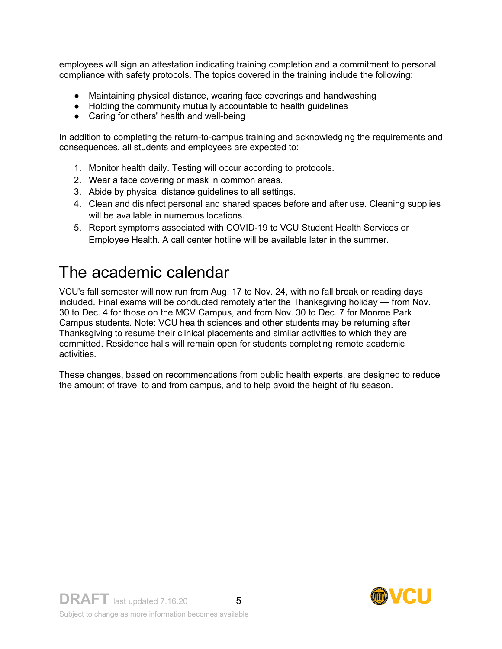employees will sign an attestation indicating training completion and a commitment to personal compliance with safety protocols. The topics covered in the training include the following:

- Maintaining physical distance, wearing face coverings and handwashing
- Holding the community mutually accountable to health guidelines
- Caring for others' health and well-being

In addition to completing the return-to-campus training and acknowledging the requirements and consequences, all students and employees are expected to:

- 1. Monitor health daily. Testing will occur according to protocols.
- 2. Wear a face covering or mask in common areas.
- 3. Abide by physical distance guidelines to all settings.
- 4. Clean and disinfect personal and shared spaces before and after use. Cleaning supplies will be available in numerous locations.
- 5. Report symptoms associated with COVID-19 to VCU Student Health Services or Employee Health. A call center hotline will be available later in the summer.

# The academic calendar

VCU's fall semester will now run from Aug. 17 to Nov. 24, with no fall break or reading days included. Final exams will be conducted remotely after the Thanksgiving holiday — from Nov. 30 to Dec. 4 for those on the MCV Campus, and from Nov. 30 to Dec. 7 for Monroe Park Campus students. Note: VCU health sciences and other students may be returning after Thanksgiving to resume their clinical placements and similar activities to which they are committed. Residence halls will remain open for students completing remote academic activities.

These changes, based on recommendations from public health experts, are designed to reduce the amount of travel to and from campus, and to help avoid the height of flu season.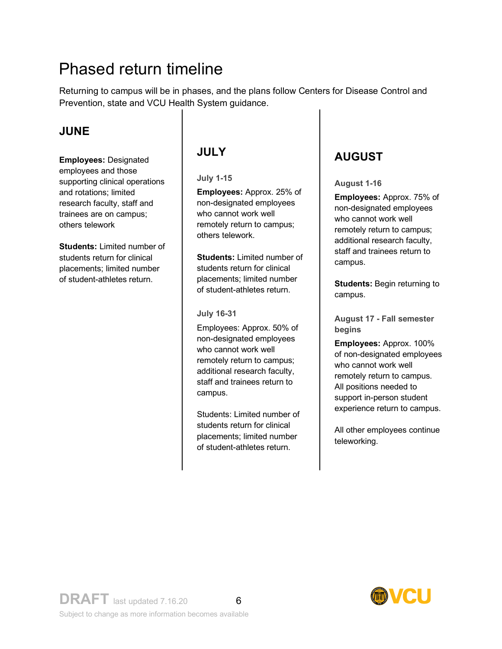# Phased return timeline

Returning to campus will be in phases, and the plans follow Centers for Disease Control and Prevention, state and VCU Health System guidance.

### **JUNE**

**Employees:** Designated employees and those supporting clinical operations and rotations; limited research faculty, staff and trainees are on campus; others telework

**Students:** Limited number of students return for clinical placements; limited number of student-athletes return.

### **JULY**

**July 1-15**

**Employees:** Approx. 25% of non-designated employees who cannot work well remotely return to campus; others telework.

**Students:** Limited number of students return for clinical placements; limited number of student-athletes return.

#### **July 16-31**

Employees: Approx. 50% of non-designated employees who cannot work well remotely return to campus; additional research faculty, staff and trainees return to campus.

Students: Limited number of students return for clinical placements; limited number of student-athletes return.

## **AUGUST**

**August 1-16**

**Employees:** Approx. 75% of non-designated employees who cannot work well remotely return to campus; additional research faculty, staff and trainees return to campus.

**Students:** Begin returning to campus.

**August 17 - Fall semester begins**

**Employees:** Approx. 100% of non-designated employees who cannot work well remotely return to campus. All positions needed to support in-person student experience return to campus.

All other employees continue teleworking.

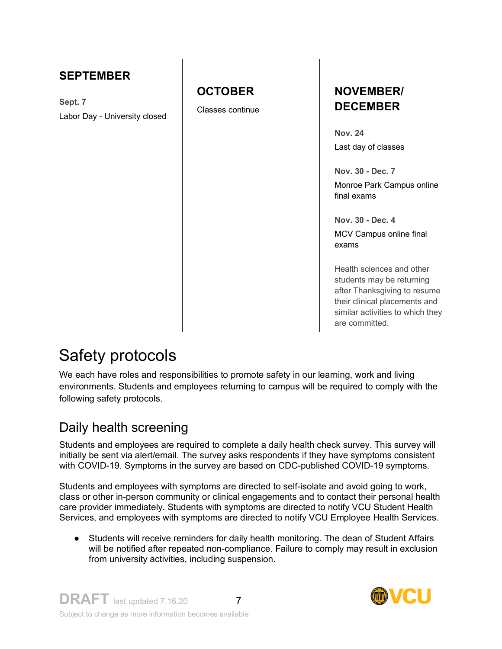### **SEPTEMBER**

**Sept. 7** Labor Day - University closed

### **OCTOBER**

Classes continue

### **NOVEMBER/ DECEMBER**

**Nov. 24** Last day of classes

**Nov. 30 - Dec. 7** Monroe Park Campus online final exams

**Nov. 30 - Dec. 4** MCV Campus online final exams

Health sciences and other students may be returning after Thanksgiving to resume their clinical placements and similar activities to which they are committed.

# Safety protocols

We each have roles and responsibilities to promote safety in our learning, work and living environments. Students and employees returning to campus will be required to comply with the following safety protocols.

## Daily health screening

Students and employees are required to complete a daily health check survey. This survey will initially be sent via alert/email. The survey asks respondents if they have symptoms consistent with COVID-19. Symptoms in the survey are based on CDC-published COVID-19 symptoms.

Students and employees with symptoms are directed to self-isolate and avoid going to work, class or other in-person community or clinical engagements and to contact their personal health care provider immediately. Students with symptoms are directed to notify VCU Student Health Services, and employees with symptoms are directed to notify VCU Employee Health Services.

● Students will receive reminders for daily health monitoring. The dean of Student Affairs will be notified after repeated non-compliance. Failure to comply may result in exclusion from university activities, including suspension.

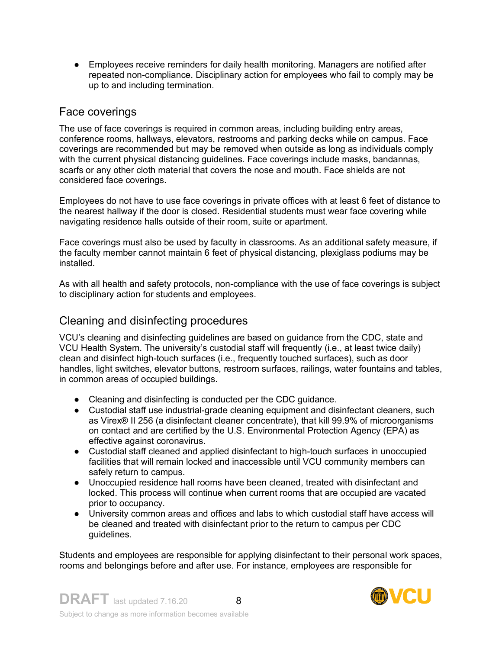• Employees receive reminders for daily health monitoring. Managers are notified after repeated non-compliance. Disciplinary action for employees who fail to comply may be up to and including termination.

#### Face coverings

The use of face coverings is required in common areas, including building entry areas, conference rooms, hallways, elevators, restrooms and parking decks while on campus. Face coverings are recommended but may be removed when outside as long as individuals comply with the current physical distancing guidelines. Face coverings include masks, bandannas, scarfs or any other cloth material that covers the nose and mouth. Face shields are not considered face coverings.

Employees do not have to use face coverings in private offices with at least 6 feet of distance to the nearest hallway if the door is closed. Residential students must wear face covering while navigating residence halls outside of their room, suite or apartment.

Face coverings must also be used by faculty in classrooms. As an additional safety measure, if the faculty member cannot maintain 6 feet of physical distancing, plexiglass podiums may be installed.

As with all health and safety protocols, non-compliance with the use of face coverings is subject to disciplinary action for students and employees.

#### Cleaning and disinfecting procedures

VCU's cleaning and disinfecting guidelines are based on guidance from the CDC, state and VCU Health System. The university's custodial staff will frequently (i.e., at least twice daily) clean and disinfect high-touch surfaces (i.e., frequently touched surfaces), such as door handles, light switches, elevator buttons, restroom surfaces, railings, water fountains and tables, in common areas of occupied buildings.

- Cleaning and disinfecting is conducted per the CDC guidance.
- Custodial staff use industrial-grade cleaning equipment and disinfectant cleaners, such as Virex® II 256 (a disinfectant cleaner concentrate), that kill 99.9% of microorganisms on contact and are certified by the U.S. Environmental Protection Agency (EPA) as effective against coronavirus.
- Custodial staff cleaned and applied disinfectant to high-touch surfaces in unoccupied facilities that will remain locked and inaccessible until VCU community members can safely return to campus.
- Unoccupied residence hall rooms have been cleaned, treated with disinfectant and locked. This process will continue when current rooms that are occupied are vacated prior to occupancy.
- University common areas and offices and labs to which custodial staff have access will be cleaned and treated with disinfectant prior to the return to campus per CDC guidelines.

Students and employees are responsible for applying disinfectant to their personal work spaces, rooms and belongings before and after use. For instance, employees are responsible for

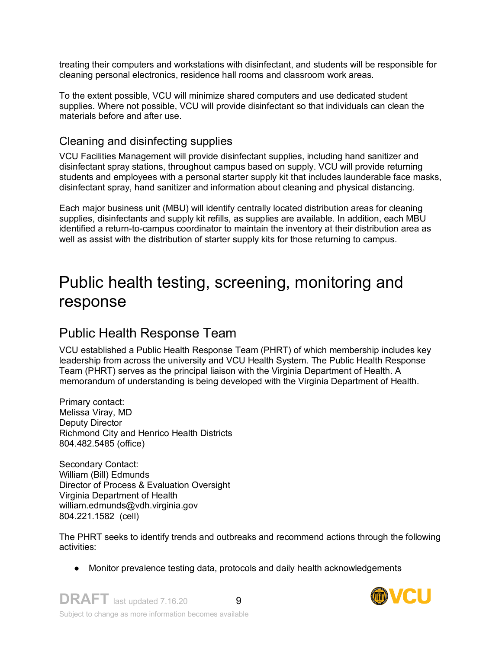treating their computers and workstations with disinfectant, and students will be responsible for cleaning personal electronics, residence hall rooms and classroom work areas.

To the extent possible, VCU will minimize shared computers and use dedicated student supplies. Where not possible, VCU will provide disinfectant so that individuals can clean the materials before and after use.

### Cleaning and disinfecting supplies

VCU Facilities Management will provide disinfectant supplies, including hand sanitizer and disinfectant spray stations, throughout campus based on supply. VCU will provide returning students and employees with a personal starter supply kit that includes launderable face masks, disinfectant spray, hand sanitizer and information about cleaning and physical distancing.

Each major business unit (MBU) will identify centrally located distribution areas for cleaning supplies, disinfectants and supply kit refills, as supplies are available. In addition, each MBU identified a return-to-campus coordinator to maintain the inventory at their distribution area as well as assist with the distribution of starter supply kits for those returning to campus.

# Public health testing, screening, monitoring and response

## Public Health Response Team

VCU established a Public Health Response Team (PHRT) of which membership includes key leadership from across the university and VCU Health System. The Public Health Response Team (PHRT) serves as the principal liaison with the Virginia Department of Health. A memorandum of understanding is being developed with the Virginia Department of Health.

Primary contact: Melissa Viray, MD Deputy Director Richmond City and Henrico Health Districts 804.482.5485 (office)

Secondary Contact: William (Bill) Edmunds Director of Process & Evaluation Oversight Virginia Department of Health william.edmunds@vdh.virginia.gov 804.221.1582 (cell)

The PHRT seeks to identify trends and outbreaks and recommend actions through the following activities:

● Monitor prevalence testing data, protocols and daily health acknowledgements

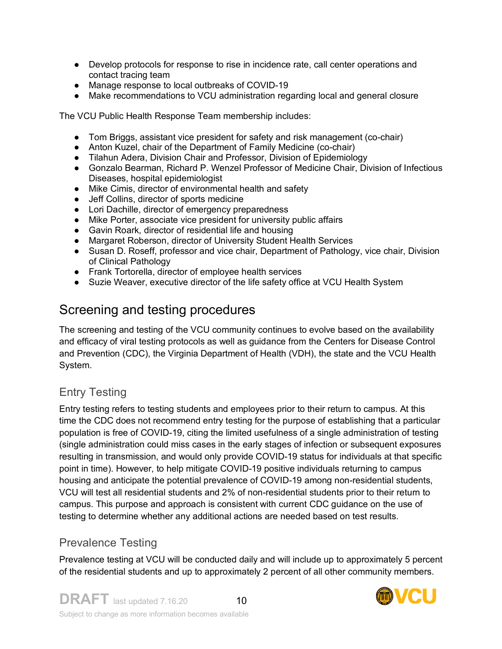- Develop protocols for response to rise in incidence rate, call center operations and contact tracing team
- Manage response to local outbreaks of COVID-19
- Make recommendations to VCU administration regarding local and general closure

The VCU Public Health Response Team membership includes:

- Tom Briggs, assistant vice president for safety and risk management (co-chair)
- Anton Kuzel, chair of the Department of Family Medicine (co-chair)
- Tilahun Adera, Division Chair and Professor, Division of Epidemiology
- Gonzalo Bearman, Richard P. Wenzel Professor of Medicine Chair, Division of Infectious Diseases, hospital epidemiologist
- Mike Cimis, director of environmental health and safety
- Jeff Collins, director of sports medicine
- Lori Dachille, director of emergency preparedness
- Mike Porter, associate vice president for university public affairs
- Gavin Roark, director of residential life and housing
- Margaret Roberson, director of University Student Health Services
- Susan D. Roseff, professor and vice chair, Department of Pathology, vice chair, Division of Clinical Pathology
- Frank Tortorella, director of employee health services
- Suzie Weaver, executive director of the life safety office at VCU Health System

## Screening and testing procedures

The screening and testing of the VCU community continues to evolve based on the availability and efficacy of viral testing protocols as well as guidance from the Centers for Disease Control and Prevention (CDC), the Virginia Department of Health (VDH), the state and the VCU Health System.

### Entry Testing

Entry testing refers to testing students and employees prior to their return to campus. At this time the CDC does not recommend entry testing for the purpose of establishing that a particular population is free of COVID-19, citing the limited usefulness of a single administration of testing (single administration could miss cases in the early stages of infection or subsequent exposures resulting in transmission, and would only provide COVID-19 status for individuals at that specific point in time). However, to help mitigate COVID-19 positive individuals returning to campus housing and anticipate the potential prevalence of COVID-19 among non-residential students, VCU will test all residential students and 2% of non-residential students prior to their return to campus. This purpose and approach is consistent with current CDC guidance on the use of testing to determine whether any additional actions are needed based on test results.

### Prevalence Testing

Prevalence testing at VCU will be conducted daily and will include up to approximately 5 percent of the residential students and up to approximately 2 percent of all other community members.

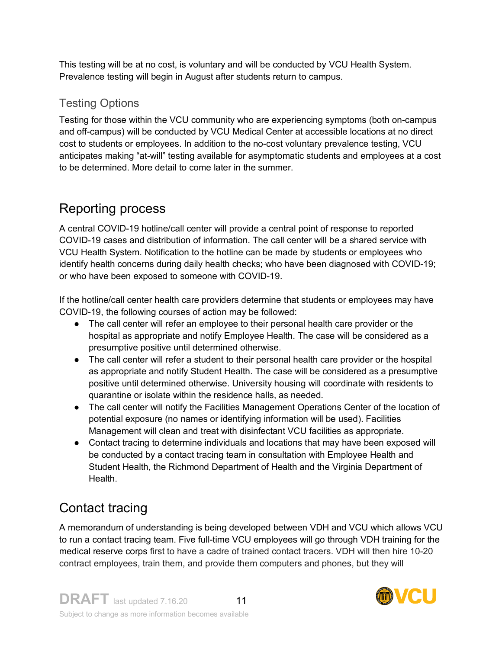This testing will be at no cost, is voluntary and will be conducted by VCU Health System. Prevalence testing will begin in August after students return to campus.

### Testing Options

Testing for those within the VCU community who are experiencing symptoms (both on-campus and off-campus) will be conducted by VCU Medical Center at accessible locations at no direct cost to students or employees. In addition to the no-cost voluntary prevalence testing, VCU anticipates making "at-will" testing available for asymptomatic students and employees at a cost to be determined. More detail to come later in the summer.

## Reporting process

A central COVID-19 hotline/call center will provide a central point of response to reported COVID-19 cases and distribution of information. The call center will be a shared service with VCU Health System. Notification to the hotline can be made by students or employees who identify health concerns during daily health checks; who have been diagnosed with COVID-19; or who have been exposed to someone with COVID-19.

If the hotline/call center health care providers determine that students or employees may have COVID-19, the following courses of action may be followed:

- The call center will refer an employee to their personal health care provider or the hospital as appropriate and notify Employee Health. The case will be considered as a presumptive positive until determined otherwise.
- The call center will refer a student to their personal health care provider or the hospital as appropriate and notify Student Health. The case will be considered as a presumptive positive until determined otherwise. University housing will coordinate with residents to quarantine or isolate within the residence halls, as needed.
- The call center will notify the Facilities Management Operations Center of the location of potential exposure (no names or identifying information will be used). Facilities Management will clean and treat with disinfectant VCU facilities as appropriate.
- Contact tracing to determine individuals and locations that may have been exposed will be conducted by a contact tracing team in consultation with Employee Health and Student Health, the Richmond Department of Health and the Virginia Department of Health.

# Contact tracing

A memorandum of understanding is being developed between VDH and VCU which allows VCU to run a contact tracing team. Five full-time VCU employees will go through VDH training for the medical reserve corps first to have a cadre of trained contact tracers. VDH will then hire 10-20 contract employees, train them, and provide them computers and phones, but they will

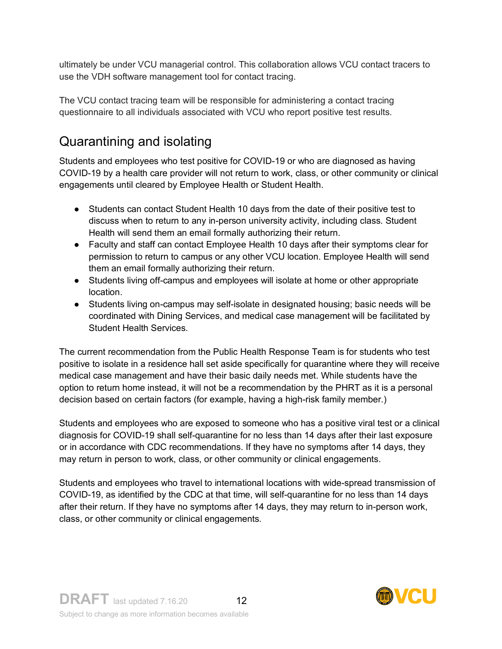ultimately be under VCU managerial control. This collaboration allows VCU contact tracers to use the VDH software management tool for contact tracing.

The VCU contact tracing team will be responsible for administering a contact tracing questionnaire to all individuals associated with VCU who report positive test results.

# Quarantining and isolating

Students and employees who test positive for COVID-19 or who are diagnosed as having COVID-19 by a health care provider will not return to work, class, or other community or clinical engagements until cleared by Employee Health or Student Health.

- Students can contact Student Health 10 days from the date of their positive test to discuss when to return to any in-person university activity, including class. Student Health will send them an email formally authorizing their return.
- Faculty and staff can contact Employee Health 10 days after their symptoms clear for permission to return to campus or any other VCU location. Employee Health will send them an email formally authorizing their return.
- Students living off-campus and employees will isolate at home or other appropriate location.
- Students living on-campus may self-isolate in designated housing; basic needs will be coordinated with Dining Services, and medical case management will be facilitated by Student Health Services.

The current recommendation from the Public Health Response Team is for students who test positive to isolate in a residence hall set aside specifically for quarantine where they will receive medical case management and have their basic daily needs met. While students have the option to return home instead, it will not be a recommendation by the PHRT as it is a personal decision based on certain factors (for example, having a high-risk family member.)

Students and employees who are exposed to someone who has a positive viral test or a clinical diagnosis for COVID-19 shall self-quarantine for no less than 14 days after their last exposure or in accordance with CDC recommendations. If they have no symptoms after 14 days, they may return in person to work, class, or other community or clinical engagements.

Students and employees who travel to international locations with wide-spread transmission of COVID-19, as identified by the CDC at that time, will self-quarantine for no less than 14 days after their return. If they have no symptoms after 14 days, they may return to in-person work, class, or other community or clinical engagements.

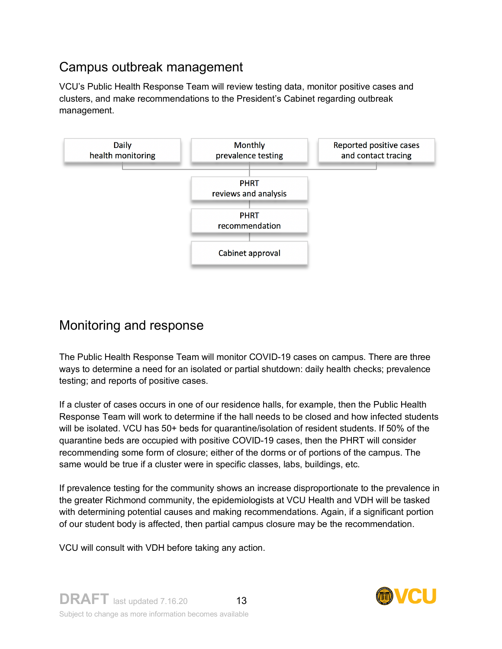## Campus outbreak management

VCU's Public Health Response Team will review testing data, monitor positive cases and clusters, and make recommendations to the President's Cabinet regarding outbreak management.



## Monitoring and response

The Public Health Response Team will monitor COVID-19 cases on campus. There are three ways to determine a need for an isolated or partial shutdown: daily health checks; prevalence testing; and reports of positive cases.

If a cluster of cases occurs in one of our residence halls, for example, then the Public Health Response Team will work to determine if the hall needs to be closed and how infected students will be isolated. VCU has 50+ beds for quarantine/isolation of resident students. If 50% of the quarantine beds are occupied with positive COVID-19 cases, then the PHRT will consider recommending some form of closure; either of the dorms or of portions of the campus. The same would be true if a cluster were in specific classes, labs, buildings, etc.

If prevalence testing for the community shows an increase disproportionate to the prevalence in the greater Richmond community, the epidemiologists at VCU Health and VDH will be tasked with determining potential causes and making recommendations. Again, if a significant portion of our student body is affected, then partial campus closure may be the recommendation.

VCU will consult with VDH before taking any action.

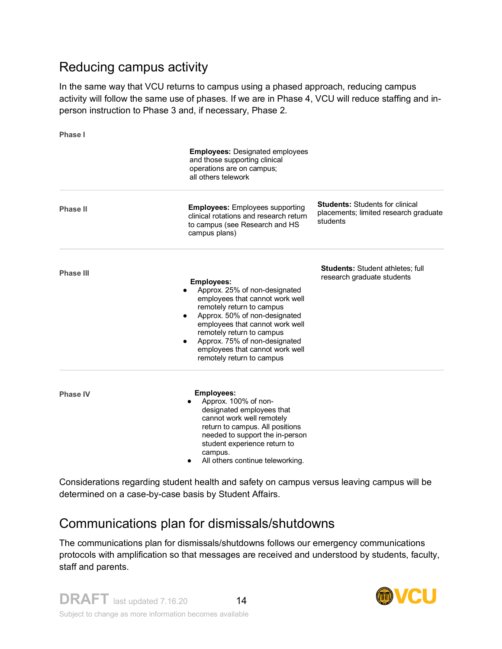## Reducing campus activity

In the same way that VCU returns to campus using a phased approach, reducing campus activity will follow the same use of phases. If we are in Phase 4, VCU will reduce staffing and inperson instruction to Phase 3 and, if necessary, Phase 2.

**Phase I**

|                  | <b>Employees: Designated employees</b><br>and those supporting clinical<br>operations are on campus;<br>all others telework                                                                                                                                                                                                                    |                                                                                             |
|------------------|------------------------------------------------------------------------------------------------------------------------------------------------------------------------------------------------------------------------------------------------------------------------------------------------------------------------------------------------|---------------------------------------------------------------------------------------------|
| <b>Phase II</b>  | <b>Employees:</b> Employees supporting<br>clinical rotations and research return<br>to campus (see Research and HS<br>campus plans)                                                                                                                                                                                                            | <b>Students: Students for clinical</b><br>placements; limited research graduate<br>students |
| <b>Phase III</b> | <b>Employees:</b><br>Approx. 25% of non-designated<br>employees that cannot work well<br>remotely return to campus<br>Approx. 50% of non-designated<br>$\bullet$<br>employees that cannot work well<br>remotely return to campus<br>Approx. 75% of non-designated<br>$\bullet$<br>employees that cannot work well<br>remotely return to campus | <b>Students: Student athletes; full</b><br>research graduate students                       |
| <b>Phase IV</b>  | <b>Employees:</b><br>Approx. 100% of non-<br>designated employees that<br>cannot work well remotely<br>return to campus. All positions<br>needed to support the in-person<br>student experience return to<br>campus.<br>All others continue teleworking.                                                                                       |                                                                                             |

Considerations regarding student health and safety on campus versus leaving campus will be determined on a case-by-case basis by Student Affairs.

## Communications plan for dismissals/shutdowns

The communications plan for dismissals/shutdowns follows our emergency communications protocols with amplification so that messages are received and understood by students, faculty, staff and parents.

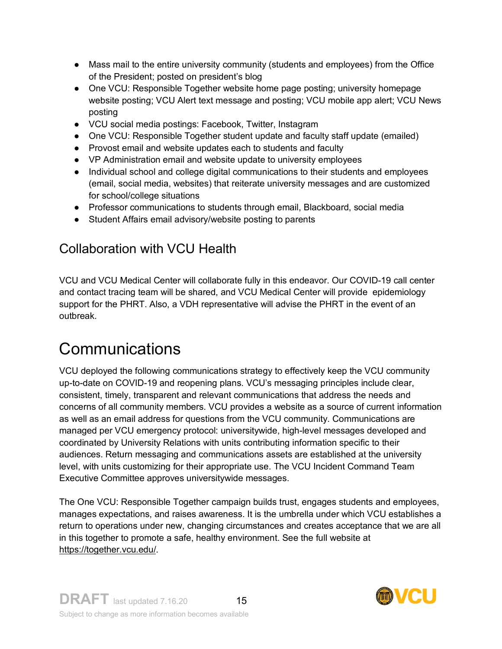- Mass mail to the entire university community (students and employees) from the Office of the President; posted on president's blog
- One VCU: Responsible Together website home page posting; university homepage website posting; VCU Alert text message and posting; VCU mobile app alert; VCU News posting
- VCU social media postings: Facebook, Twitter, Instagram
- One VCU: Responsible Together student update and faculty staff update (emailed)
- Provost email and website updates each to students and faculty
- VP Administration email and website update to university employees
- Individual school and college digital communications to their students and employees (email, social media, websites) that reiterate university messages and are customized for school/college situations
- Professor communications to students through email, Blackboard, social media
- Student Affairs email advisory/website posting to parents

## Collaboration with VCU Health

VCU and VCU Medical Center will collaborate fully in this endeavor. Our COVID-19 call center and contact tracing team will be shared, and VCU Medical Center will provide epidemiology support for the PHRT. Also, a VDH representative will advise the PHRT in the event of an outbreak.

# **Communications**

VCU deployed the following communications strategy to effectively keep the VCU community up-to-date on COVID-19 and reopening plans. VCU's messaging principles include clear, consistent, timely, transparent and relevant communications that address the needs and concerns of all community members. VCU provides a website as a source of current information as well as an email address for questions from the VCU community. Communications are managed per VCU emergency protocol: universitywide, high-level messages developed and coordinated by University Relations with units contributing information specific to their audiences. Return messaging and communications assets are established at the university level, with units customizing for their appropriate use. The VCU Incident Command Team Executive Committee approves universitywide messages.

The One VCU: Responsible Together campaign builds trust, engages students and employees, manages expectations, and raises awareness. It is the umbrella under which VCU establishes a return to operations under new, changing circumstances and creates acceptance that we are all in this together to promote a safe, healthy environment. See the full website at https://together.vcu.edu/.

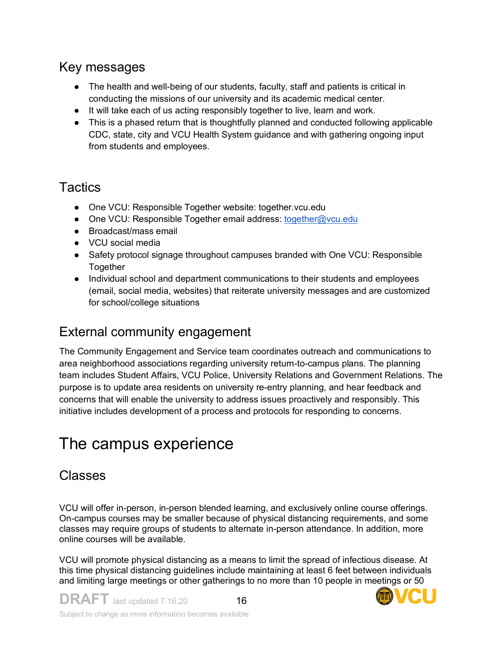## Key messages

- The health and well-being of our students, faculty, staff and patients is critical in conducting the missions of our university and its academic medical center.
- It will take each of us acting responsibly together to live, learn and work.
- This is a phased return that is thoughtfully planned and conducted following applicable CDC, state, city and VCU Health System guidance and with gathering ongoing input from students and employees.

## **Tactics**

- One VCU: Responsible Together website: together.vcu.edu
- One VCU: Responsible Together email address: together@vcu.edu
- Broadcast/mass email
- VCU social media
- Safety protocol signage throughout campuses branded with One VCU: Responsible **Together**
- Individual school and department communications to their students and employees (email, social media, websites) that reiterate university messages and are customized for school/college situations

## External community engagement

The Community Engagement and Service team coordinates outreach and communications to area neighborhood associations regarding university return-to-campus plans. The planning team includes Student Affairs, VCU Police, University Relations and Government Relations. The purpose is to update area residents on university re-entry planning, and hear feedback and concerns that will enable the university to address issues proactively and responsibly. This initiative includes development of a process and protocols for responding to concerns.

# The campus experience

## Classes

VCU will offer in-person, in-person blended learning, and exclusively online course offerings. On-campus courses may be smaller because of physical distancing requirements, and some classes may require groups of students to alternate in-person attendance. In addition, more online courses will be available.

VCU will promote physical distancing as a means to limit the spread of infectious disease. At this time physical distancing guidelines include maintaining at least 6 feet between individuals and limiting large meetings or other gatherings to no more than 10 people in meetings or 50

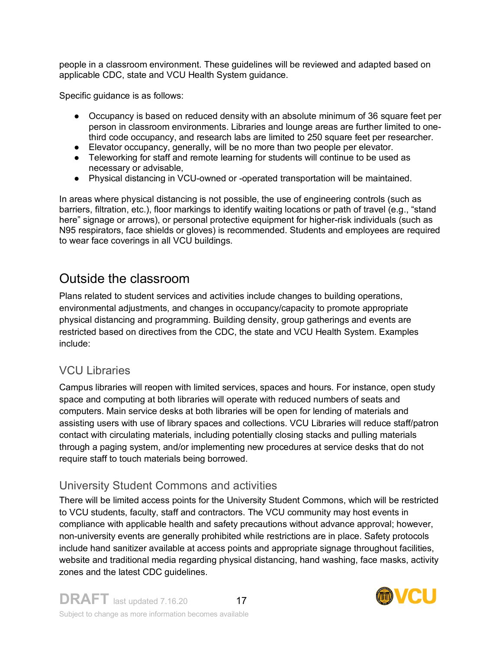people in a classroom environment. These guidelines will be reviewed and adapted based on applicable CDC, state and VCU Health System guidance.

Specific guidance is as follows:

- Occupancy is based on reduced density with an absolute minimum of 36 square feet per person in classroom environments. Libraries and lounge areas are further limited to onethird code occupancy, and research labs are limited to 250 square feet per researcher.
- Elevator occupancy, generally, will be no more than two people per elevator.
- Teleworking for staff and remote learning for students will continue to be used as necessary or advisable,
- Physical distancing in VCU-owned or -operated transportation will be maintained.

In areas where physical distancing is not possible, the use of engineering controls (such as barriers, filtration, etc.), floor markings to identify waiting locations or path of travel (e.g., "stand here" signage or arrows), or personal protective equipment for higher-risk individuals (such as N95 respirators, face shields or gloves) is recommended. Students and employees are required to wear face coverings in all VCU buildings.

## Outside the classroom

Plans related to student services and activities include changes to building operations, environmental adjustments, and changes in occupancy/capacity to promote appropriate physical distancing and programming. Building density, group gatherings and events are restricted based on directives from the CDC, the state and VCU Health System. Examples include:

### VCU Libraries

Campus libraries will reopen with limited services, spaces and hours. For instance, open study space and computing at both libraries will operate with reduced numbers of seats and computers. Main service desks at both libraries will be open for lending of materials and assisting users with use of library spaces and collections. VCU Libraries will reduce staff/patron contact with circulating materials, including potentially closing stacks and pulling materials through a paging system, and/or implementing new procedures at service desks that do not require staff to touch materials being borrowed.

### University Student Commons and activities

There will be limited access points for the University Student Commons, which will be restricted to VCU students, faculty, staff and contractors. The VCU community may host events in compliance with applicable health and safety precautions without advance approval; however, non-university events are generally prohibited while restrictions are in place. Safety protocols include hand sanitizer available at access points and appropriate signage throughout facilities, website and traditional media regarding physical distancing, hand washing, face masks, activity zones and the latest CDC guidelines.

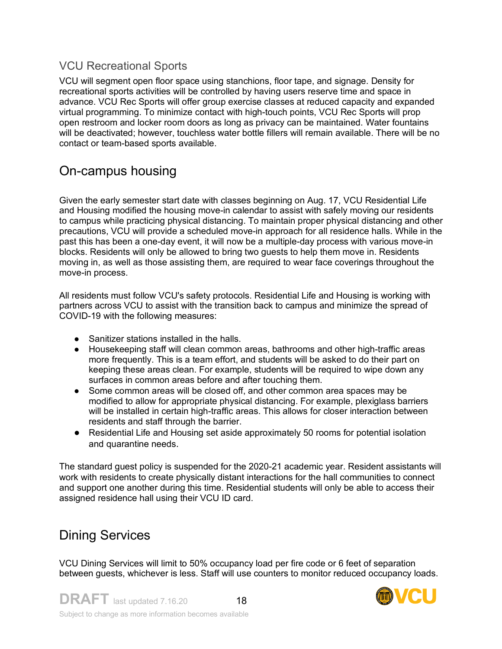### VCU Recreational Sports

VCU will segment open floor space using stanchions, floor tape, and signage. Density for recreational sports activities will be controlled by having users reserve time and space in advance. VCU Rec Sports will offer group exercise classes at reduced capacity and expanded virtual programming. To minimize contact with high-touch points, VCU Rec Sports will prop open restroom and locker room doors as long as privacy can be maintained. Water fountains will be deactivated; however, touchless water bottle fillers will remain available. There will be no contact or team-based sports available.

## On-campus housing

Given the early semester start date with classes beginning on Aug. 17, VCU Residential Life and Housing modified the housing move-in calendar to assist with safely moving our residents to campus while practicing physical distancing. To maintain proper physical distancing and other precautions, VCU will provide a scheduled move-in approach for all residence halls. While in the past this has been a one-day event, it will now be a multiple-day process with various move-in blocks. Residents will only be allowed to bring two guests to help them move in. Residents moving in, as well as those assisting them, are required to wear face coverings throughout the move-in process.

All residents must follow VCU's safety protocols. Residential Life and Housing is working with partners across VCU to assist with the transition back to campus and minimize the spread of COVID-19 with the following measures:

- Sanitizer stations installed in the halls.
- Housekeeping staff will clean common areas, bathrooms and other high-traffic areas more frequently. This is a team effort, and students will be asked to do their part on keeping these areas clean. For example, students will be required to wipe down any surfaces in common areas before and after touching them.
- Some common areas will be closed off, and other common area spaces may be modified to allow for appropriate physical distancing. For example, plexiglass barriers will be installed in certain high-traffic areas. This allows for closer interaction between residents and staff through the barrier.
- Residential Life and Housing set aside approximately 50 rooms for potential isolation and quarantine needs.

The standard guest policy is suspended for the 2020-21 academic year. Resident assistants will work with residents to create physically distant interactions for the hall communities to connect and support one another during this time. Residential students will only be able to access their assigned residence hall using their VCU ID card.

## Dining Services

VCU Dining Services will limit to 50% occupancy load per fire code or 6 feet of separation between guests, whichever is less. Staff will use counters to monitor reduced occupancy loads.

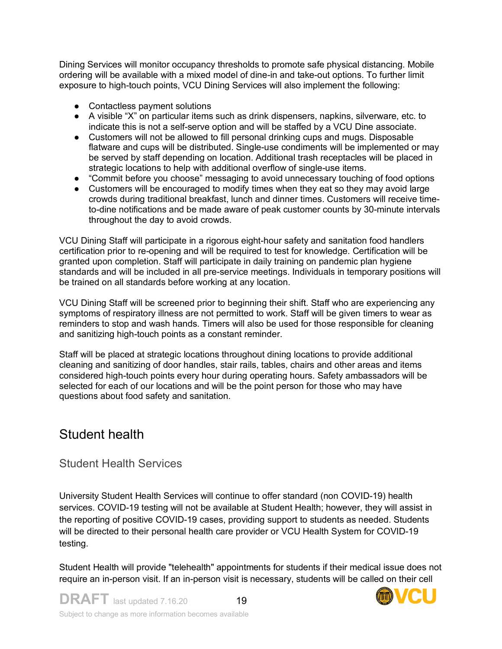Dining Services will monitor occupancy thresholds to promote safe physical distancing. Mobile ordering will be available with a mixed model of dine-in and take-out options. To further limit exposure to high-touch points, VCU Dining Services will also implement the following:

- Contactless payment solutions
- A visible "X" on particular items such as drink dispensers, napkins, silverware, etc. to indicate this is not a self-serve option and will be staffed by a VCU Dine associate.
- Customers will not be allowed to fill personal drinking cups and mugs. Disposable flatware and cups will be distributed. Single-use condiments will be implemented or may be served by staff depending on location. Additional trash receptacles will be placed in strategic locations to help with additional overflow of single-use items.
- "Commit before you choose" messaging to avoid unnecessary touching of food options
- Customers will be encouraged to modify times when they eat so they may avoid large crowds during traditional breakfast, lunch and dinner times. Customers will receive timeto-dine notifications and be made aware of peak customer counts by 30-minute intervals throughout the day to avoid crowds.

VCU Dining Staff will participate in a rigorous eight-hour safety and sanitation food handlers certification prior to re-opening and will be required to test for knowledge. Certification will be granted upon completion. Staff will participate in daily training on pandemic plan hygiene standards and will be included in all pre-service meetings. Individuals in temporary positions will be trained on all standards before working at any location.

VCU Dining Staff will be screened prior to beginning their shift. Staff who are experiencing any symptoms of respiratory illness are not permitted to work. Staff will be given timers to wear as reminders to stop and wash hands. Timers will also be used for those responsible for cleaning and sanitizing high-touch points as a constant reminder.

Staff will be placed at strategic locations throughout dining locations to provide additional cleaning and sanitizing of door handles, stair rails, tables, chairs and other areas and items considered high-touch points every hour during operating hours. Safety ambassadors will be selected for each of our locations and will be the point person for those who may have questions about food safety and sanitation.

## Student health

#### Student Health Services

University Student Health Services will continue to offer standard (non COVID-19) health services. COVID-19 testing will not be available at Student Health; however, they will assist in the reporting of positive COVID-19 cases, providing support to students as needed. Students will be directed to their personal health care provider or VCU Health System for COVID-19 testing.

Student Health will provide "telehealth" appointments for students if their medical issue does not require an in-person visit. If an in-person visit is necessary, students will be called on their cell

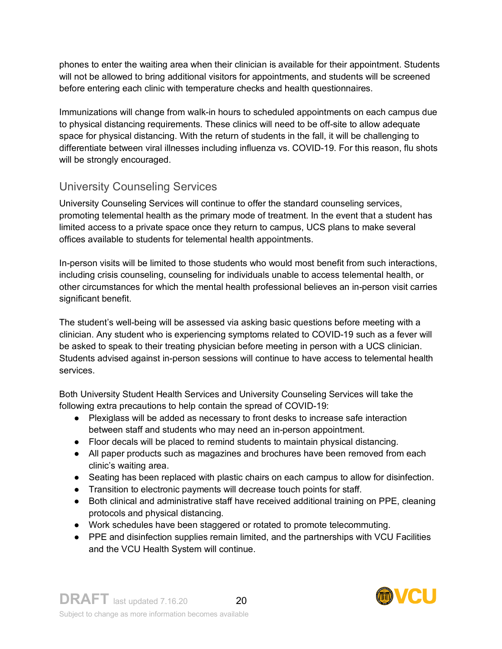phones to enter the waiting area when their clinician is available for their appointment. Students will not be allowed to bring additional visitors for appointments, and students will be screened before entering each clinic with temperature checks and health questionnaires.

Immunizations will change from walk-in hours to scheduled appointments on each campus due to physical distancing requirements. These clinics will need to be off-site to allow adequate space for physical distancing. With the return of students in the fall, it will be challenging to differentiate between viral illnesses including influenza vs. COVID-19. For this reason, flu shots will be strongly encouraged.

### University Counseling Services

University Counseling Services will continue to offer the standard counseling services, promoting telemental health as the primary mode of treatment. In the event that a student has limited access to a private space once they return to campus, UCS plans to make several offices available to students for telemental health appointments.

In-person visits will be limited to those students who would most benefit from such interactions, including crisis counseling, counseling for individuals unable to access telemental health, or other circumstances for which the mental health professional believes an in-person visit carries significant benefit.

The student's well-being will be assessed via asking basic questions before meeting with a clinician. Any student who is experiencing symptoms related to COVID-19 such as a fever will be asked to speak to their treating physician before meeting in person with a UCS clinician. Students advised against in-person sessions will continue to have access to telemental health services.

Both University Student Health Services and University Counseling Services will take the following extra precautions to help contain the spread of COVID-19:

- Plexiglass will be added as necessary to front desks to increase safe interaction between staff and students who may need an in-person appointment.
- Floor decals will be placed to remind students to maintain physical distancing.
- All paper products such as magazines and brochures have been removed from each clinic's waiting area.
- Seating has been replaced with plastic chairs on each campus to allow for disinfection.
- Transition to electronic payments will decrease touch points for staff.
- Both clinical and administrative staff have received additional training on PPE, cleaning protocols and physical distancing.
- Work schedules have been staggered or rotated to promote telecommuting.
- PPE and disinfection supplies remain limited, and the partnerships with VCU Facilities and the VCU Health System will continue.

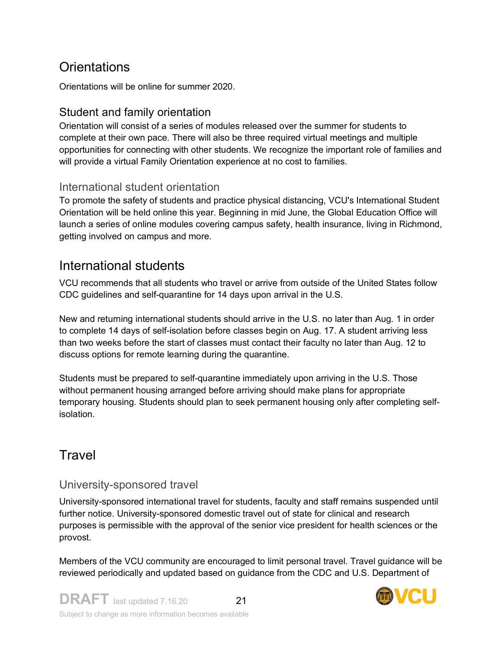## **Orientations**

Orientations will be online for summer 2020.

### Student and family orientation

Orientation will consist of a series of modules released over the summer for students to complete at their own pace. There will also be three required virtual meetings and multiple opportunities for connecting with other students. We recognize the important role of families and will provide a virtual Family Orientation experience at no cost to families.

#### International student orientation

To promote the safety of students and practice physical distancing, VCU's International Student Orientation will be held online this year. Beginning in mid June, the Global Education Office will launch a series of online modules covering campus safety, health insurance, living in Richmond, getting involved on campus and more.

## International students

VCU recommends that all students who travel or arrive from outside of the United States follow CDC guidelines and self-quarantine for 14 days upon arrival in the U.S.

New and returning international students should arrive in the U.S. no later than Aug. 1 in order to complete 14 days of self-isolation before classes begin on Aug. 17. A student arriving less than two weeks before the start of classes must contact their faculty no later than Aug. 12 to discuss options for remote learning during the quarantine.

Students must be prepared to self-quarantine immediately upon arriving in the U.S. Those without permanent housing arranged before arriving should make plans for appropriate temporary housing. Students should plan to seek permanent housing only after completing selfisolation.

## **Travel**

#### University-sponsored travel

University-sponsored international travel for students, faculty and staff remains suspended until further notice. University-sponsored domestic travel out of state for clinical and research purposes is permissible with the approval of the senior vice president for health sciences or the provost.

Members of the VCU community are encouraged to limit personal travel. Travel guidance will be reviewed periodically and updated based on guidance from the CDC and U.S. Department of

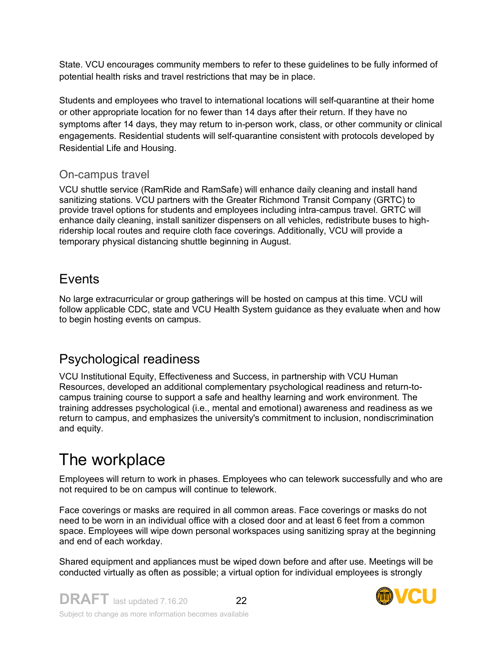State. VCU encourages community members to refer to these guidelines to be fully informed of potential health risks and travel restrictions that may be in place.

Students and employees who travel to international locations will self-quarantine at their home or other appropriate location for no fewer than 14 days after their return. If they have no symptoms after 14 days, they may return to in-person work, class, or other community or clinical engagements. Residential students will self-quarantine consistent with protocols developed by Residential Life and Housing.

#### On-campus travel

VCU shuttle service (RamRide and RamSafe) will enhance daily cleaning and install hand sanitizing stations. VCU partners with the Greater Richmond Transit Company (GRTC) to provide travel options for students and employees including intra-campus travel. GRTC will enhance daily cleaning, install sanitizer dispensers on all vehicles, redistribute buses to highridership local routes and require cloth face coverings. Additionally, VCU will provide a temporary physical distancing shuttle beginning in August.

## **Events**

No large extracurricular or group gatherings will be hosted on campus at this time. VCU will follow applicable CDC, state and VCU Health System guidance as they evaluate when and how to begin hosting events on campus.

## Psychological readiness

VCU Institutional Equity, Effectiveness and Success, in partnership with VCU Human Resources, developed an additional complementary psychological readiness and return-tocampus training course to support a safe and healthy learning and work environment. The training addresses psychological (i.e., mental and emotional) awareness and readiness as we return to campus, and emphasizes the university's commitment to inclusion, nondiscrimination and equity.

# The workplace

Employees will return to work in phases. Employees who can telework successfully and who are not required to be on campus will continue to telework.

Face coverings or masks are required in all common areas. Face coverings or masks do not need to be worn in an individual office with a closed door and at least 6 feet from a common space. Employees will wipe down personal workspaces using sanitizing spray at the beginning and end of each workday.

Shared equipment and appliances must be wiped down before and after use. Meetings will be conducted virtually as often as possible; a virtual option for individual employees is strongly

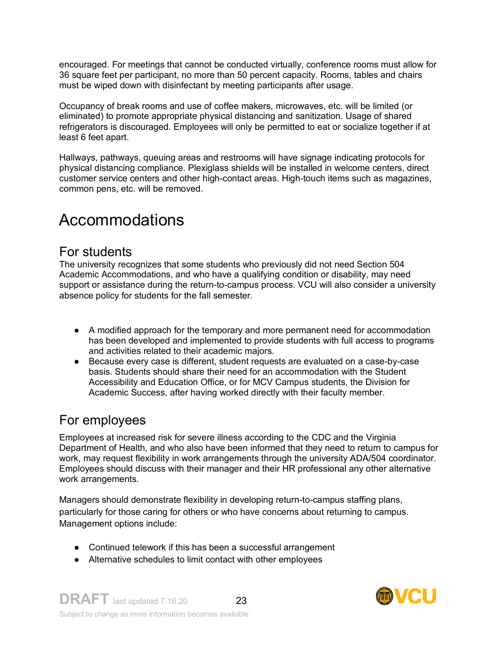encouraged. For meetings that cannot be conducted virtually, conference rooms must allow for 36 square feet per participant, no more than 50 percent capacity. Rooms, tables and chairs must be wiped down with disinfectant by meeting participants after usage.

Occupancy of break rooms and use of coffee makers, microwaves, etc. will be limited (or eliminated) to promote appropriate physical distancing and sanitization. Usage of shared refrigerators is discouraged. Employees will only be permitted to eat or socialize together if at least 6 feet apart.

Hallways, pathways, queuing areas and restrooms will have signage indicating protocols for physical distancing compliance. Plexiglass shields will be installed in welcome centers, direct customer service centers and other high-contact areas. High-touch items such as magazines, common pens, etc. will be removed.

# Accommodations

### For students

The university recognizes that some students who previously did not need Section 504 Academic Accommodations, and who have a qualifying condition or disability, may need support or assistance during the return-to-campus process. VCU will also consider a university absence policy for students for the fall semester.

- A modified approach for the temporary and more permanent need for accommodation has been developed and implemented to provide students with full access to programs and activities related to their academic majors.
- Because every case is different, student requests are evaluated on a case-by-case basis. Students should share their need for an accommodation with the Student Accessibility and Education Office, or for MCV Campus students, the Division for Academic Success, after having worked directly with their faculty member.

## For employees

Employees at increased risk for severe illness according to the CDC and the Virginia Department of Health, and who also have been informed that they need to return to campus for work, may request flexibility in work arrangements through the university ADA/504 coordinator. Employees should discuss with their manager and their HR professional any other alternative work arrangements.

Managers should demonstrate flexibility in developing return-to-campus staffing plans, particularly for those caring for others or who have concerns about returning to campus. Management options include:

- Continued telework if this has been a successful arrangement
- Alternative schedules to limit contact with other employees